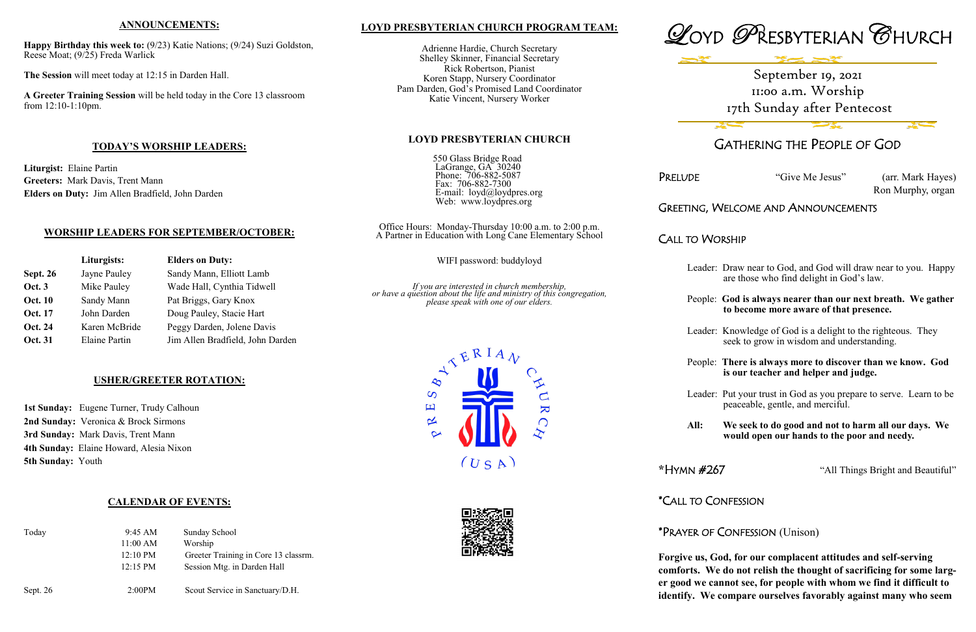## **LOYD PRESBYTERIAN CHURCH PROGRAM TEAM:**

Adrienne Hardie, Church Secretary Shelley Skinner, Financial Secretary Rick Robertson, Pianist Koren Stapp, Nursery Coordinator Pam Darden, God's Promised Land Coordinator Katie Vincent, Nursery Worker

### **LOYD PRESBYTERIAN CHURCH**

550 Glass Bridge Road LaGrange, GA<sup>3</sup> 30240 Phone: 706-882-5087 Fax: 706-882-7300 E-mail: loyd@loydpres.org Web: www.loydpres.org

PRELUDE "Give Me Jesus" (arr. Mark Hayes) Ron Murphy, organ

Office Hours: Monday-Thursday 10:00 a.m. to 2:00 p.m. A Partner in Education with Long Cane Elementary School

WIFI password: buddyloyd

*If you are interested in church membership, or have a question about the life and ministry of this congregation, please speak with one of our elders.*







## GATHERING THE PEOPLE OF GOD

## GREETING, WELCOME AND ANNOUNCEMENTS

CALL TO WORSHIP

- Leader: Draw near to God, and God will draw near to you. Happy are those who find delight in God's law.
- People: **God is always nearer than our next breath. We gather to become more aware of that presence.**
- Leader: Knowledge of God is a delight to the righteous. They seek to grow in wisdom and understanding.
- People: **There is always more to discover than we know. God is our teacher and helper and judge.**
- Leader: Put your trust in God as you prepare to serve. Learn to be peaceable, gentle, and merciful.
- **All: We seek to do good and not to harm all our days. We would open our hands to the poor and needy.**

1st Sunday: Eugene Turner, Trudy Calhoun **2nd Sunday:** Veronica & Brock Sirmons **3rd Sunday:** Mark Davis, Trent Mann **4th Sunday:** Elaine Howard, Alesia Nixon **5th Sunday:** Youth

**\***HYMN #267 "All Things Bright and Beautiful"

\*CALL TO CONFESSION

## \*PRAYER OF CONFESSION (Unison)

**Forgive us, God, for our complacent attitudes and self-serving comforts. We do not relish the thought of sacrificing for some larger good we cannot see, for people with whom we find it difficult to identify. We compare ourselves favorably against many who seem** 

## **ANNOUNCEMENTS:**

**Happy Birthday this week to:** (9/23) Katie Nations; (9/24) Suzi Goldston, Reese Moat; (9/25) Freda Warlick

**The Session** will meet today at 12:15 in Darden Hall.

**A Greeter Training Session** will be held today in the Core 13 classroom from 12:10-1:10pm.

## **TODAY'S WORSHIP LEADERS:**

**Liturgist:** Elaine Partin **Greeters:** Mark Davis, Trent Mann **Elders on Duty:** Jim Allen Bradfield, John Darden

## **WORSHIP LEADERS FOR SEPTEMBER/OCTOBER:**

|                 | Liturgists:          | <b>Elders on Duty:</b>           |
|-----------------|----------------------|----------------------------------|
| <b>Sept. 26</b> | Jayne Pauley         | Sandy Mann, Elliott Lamb         |
| <b>Oct. 3</b>   | Mike Pauley          | Wade Hall, Cynthia Tidwell       |
| <b>Oct. 10</b>  | Sandy Mann           | Pat Briggs, Gary Knox            |
| <b>Oct. 17</b>  | John Darden          | Doug Pauley, Stacie Hart         |
| <b>Oct. 24</b>  | Karen McBride        | Peggy Darden, Jolene Davis       |
| <b>Oct. 31</b>  | <b>Elaine Partin</b> | Jim Allen Bradfield, John Darden |

## **USHER/GREETER ROTATION:**

## **CALENDAR OF EVENTS:**

| Today    | 9:45 AM            | <b>Sunday School</b>                 |
|----------|--------------------|--------------------------------------|
|          | $11:00$ AM         | Worship                              |
|          | $12:10 \text{ PM}$ | Greeter Training in Core 13 classrm. |
|          | $12:15 \text{ PM}$ | Session Mtg. in Darden Hall          |
|          |                    |                                      |
| Sept. 26 | 2:00PM             | Scout Service in Sanctuary/D.H.      |

# September 19, 2021 11:00 a.m. Worship 17th Sunday after Pentecost